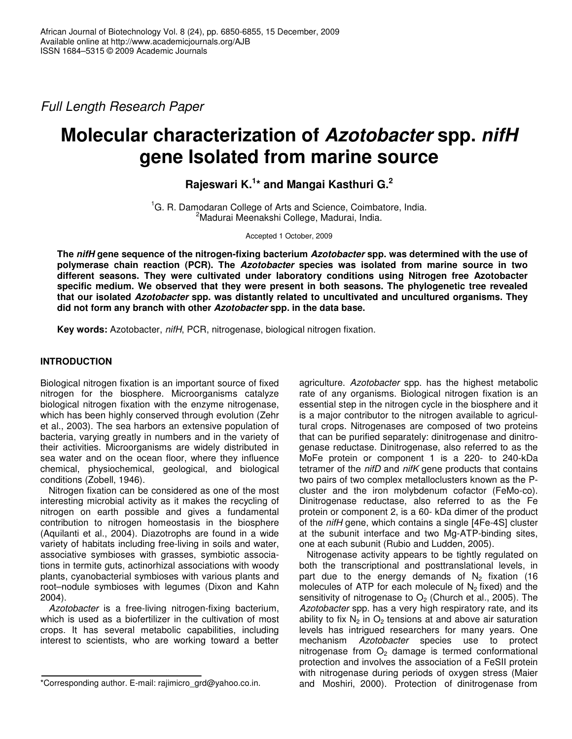*Full Length Research Paper*

# **Molecular characterization of** *Azotobacter* **spp.** *nifH* **gene Isolated from marine source**

**Rajeswari K. 1 \* and Mangai Kasthuri G. 2**

<sup>1</sup>G. R. Damodaran College of Arts and Science, Coimbatore, India. <sup>2</sup>Madurai Meenakshi College, Madurai, India.

Accepted 1 October, 2009

**The** *nifH* **gene sequence of the nitrogen-fixing bacterium** *Azotobacter* **spp. was determined with the use of polymerase chain reaction (PCR). The** *Azotobacter* **species was isolated from marine source in two different seasons. They were cultivated under laboratory conditions using Nitrogen free Azotobacter specific medium. We observed that they were present in both seasons. The phylogenetic tree revealed that our isolated** *Azotobacter* **spp. was distantly related to uncultivated and uncultured organisms. They did not form any branch with other** *Azotobacter* **spp. in the data base.**

**Key words:** Azotobacter, *nifH*, PCR, nitrogenase, biological nitrogen fixation.

# **INTRODUCTION**

Biological nitrogen fixation is an important source of fixed nitrogen for the biosphere. Microorganisms catalyze biological nitrogen fixation with the enzyme nitrogenase, which has been highly conserved through evolution (Zehr et al., 2003). The sea harbors an extensive population of bacteria, varying greatly in numbers and in the variety of their activities. Microorganisms are widely distributed in sea water and on the ocean floor, where they influence chemical, physiochemical, geological, and biological conditions (Zobell, 1946).

Nitrogen fixation can be considered as one of the most interesting microbial activity as it makes the recycling of nitrogen on earth possible and gives a fundamental contribution to nitrogen homeostasis in the biosphere (Aquilanti et al., 2004). Diazotrophs are found in a wide variety of habitats including free-living in soils and water, associative symbioses with grasses, symbiotic associations in termite guts, actinorhizal associations with woody plants, cyanobacterial symbioses with various plants and root–nodule symbioses with legumes (Dixon and Kahn 2004).

*Azotobacter* is a free-living nitrogen-fixing bacterium, which is used as a biofertilizer in the cultivation of most crops. It has several metabolic capabilities, including interest to scientists, who are working toward a better agriculture. *Azotobacter* spp. has the highest metabolic rate of any organisms. Biological nitrogen fixation is an essential step in the nitrogen cycle in the biosphere and it is a major contributor to the nitrogen available to agricultural crops. Nitrogenases are composed of two proteins that can be purified separately: dinitrogenase and dinitrogenase reductase. Dinitrogenase, also referred to as the MoFe protein or component 1 is a 220- to 240-kDa tetramer of the *nifD* and *nifK* gene products that contains two pairs of two complex metalloclusters known as the Pcluster and the iron molybdenum cofactor (FeMo-co). Dinitrogenase reductase, also referred to as the Fe protein or component 2, is a 60- kDa dimer of the product of the *nifH* gene, which contains a single [4Fe-4S] cluster at the subunit interface and two Mg-ATP-binding sites, one at each subunit (Rubio and Ludden, 2005).

Nitrogenase activity appears to be tightly regulated on both the transcriptional and posttranslational levels, in part due to the energy demands of  $N<sub>2</sub>$  fixation (16 molecules of ATP for each molecule of  $N_2$  fixed) and the sensitivity of nitrogenase to  $O<sub>2</sub>$  (Church et al., 2005). The *Azotobacter* spp. has a very high respiratory rate, and its ability to fix  $N_2$  in  $O_2$  tensions at and above air saturation levels has intrigued researchers for many years. One mechanism *Azotobacter* species use to protect nitrogenase from  $O<sub>2</sub>$  damage is termed conformational protection and involves the association of a FeSII protein with nitrogenase during periods of oxygen stress (Maier and Moshiri, 2000). Protection of dinitrogenase from

<sup>\*</sup>Corresponding author. E-mail: rajimicro\_grd@yahoo.co.in.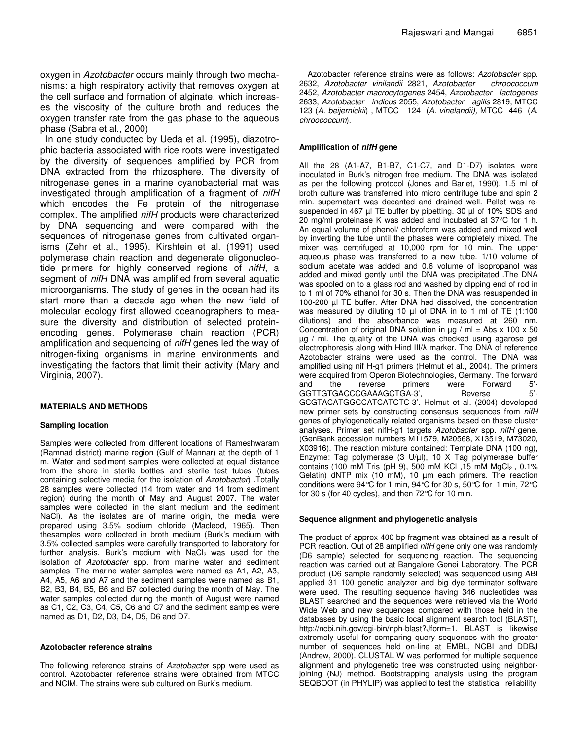oxygen in *Azotobacter* occurs mainly through two mechanisms: a high respiratory activity that removes oxygen at the cell surface and formation of alginate, which increases the viscosity of the culture broth and reduces the oxygen transfer rate from the gas phase to the aqueous phase (Sabra et al., 2000)

In one study conducted by Ueda et al. (1995), diazotrophic bacteria associated with rice roots were investigated by the diversity of sequences amplified by PCR from DNA extracted from the rhizosphere. The diversity of nitrogenase genes in a marine cyanobacterial mat was investigated through amplification of a fragment of *nifH* which encodes the Fe protein of the nitrogenase complex. The amplified *nifH* products were characterized by DNA sequencing and were compared with the sequences of nitrogenase genes from cultivated organisms (Zehr et al., 1995). Kirshtein et al. (1991) used polymerase chain reaction and degenerate oligonucleotide primers for highly conserved regions of *nifH*, a segment of *nifH* DNA was amplified from several aquatic microorganisms. The study of genes in the ocean had its start more than a decade ago when the new field of molecular ecology first allowed oceanographers to measure the diversity and distribution of selected proteinencoding genes. Polymerase chain reaction (PCR) amplification and sequencing of *nifH* genes led the way of nitrogen-fixing organisms in marine environments and investigating the factors that limit their activity (Mary and Virginia, 2007).

## **MATERIALS AND METHODS**

#### **Sampling location**

Samples were collected from different locations of Rameshwaram (Ramnad district) marine region (Gulf of Mannar) at the depth of 1 m. Water and sediment samples were collected at equal distance from the shore in sterile bottles and sterile test tubes (tubes containing selective media for the isolation of *Azotobacter*) .Totally 28 samples were collected (14 from water and 14 from sediment region) during the month of May and August 2007. The water samples were collected in the slant medium and the sediment NaCl). As the isolates are of marine origin, the media were prepared using 3.5% sodium chloride (Macleod, 1965). Then thesamples were collected in broth medium (Burk's medium with 3.5% collected samples were carefully transported to laboratory for further analysis. Burk's medium with NaCl<sub>2</sub> was used for the isolation of *Azotobacter* spp. from marine water and sediment samples. The marine water samples were named as A1, A2, A3, A4, A5, A6 and A7 and the sediment samples were named as B1, B2, B3, B4, B5, B6 and B7 collected during the month of May. The water samples collected during the month of August were named as C1, C2, C3, C4, C5, C6 and C7 and the sediment samples were named as D1, D2, D3, D4, D5, D6 and D7.

#### **Azotobacter reference strains**

The following reference strains of *Azotobacte*r spp were used as control. Azotobacter reference strains were obtained from MTCC and NCIM. The strains were sub cultured on Burk's medium.

Azotobacter reference strains were as follows: *Azotobacter* spp. 2632, *Azotobacter vinilandii* 2821, *Azotobacter chroococcum* 2452, *Azotobacter macrocytogenes* 2454, *Azotobacter lactogenes* 2633, *Azotobacter indicus* 2055, *Azotobacter agilis* 2819, MTCC 123 (*A. beijernickii*) , MTCC 124 (*A. vinelandii),* MTCC 446 (*A. chroococcum*).

Rajeswari and Mangai 6851

#### **Amplification of** *nifH* **gene**

All the 28 (A1-A7, B1-B7, C1-C7, and D1-D7) isolates were inoculated in Burk's nitrogen free medium. The DNA was isolated as per the following protocol (Jones and Barlet, 1990). 1.5 ml of broth culture was transferred into micro centrifuge tube and spin 2 min. supernatant was decanted and drained well. Pellet was resuspended in 467 µl TE buffer by pipetting. 30 µl of 10% SDS and 20 mg/ml proteinase K was added and incubated at 37ºC for 1 h. An equal volume of phenol/ chloroform was added and mixed well by inverting the tube until the phases were completely mixed. The mixer was centrifuged at 10,000 rpm for 10 min. The upper aqueous phase was transferred to a new tube. 1/10 volume of sodium acetate was added and 0.6 volume of isopropanol was added and mixed gently until the DNA was precipitated .The DNA was spooled on to a glass rod and washed by dipping end of rod in to 1 ml of 70% ethanol for 30 s. Then the DNA was resuspended in 100-200 µl TE buffer. After DNA had dissolved, the concentration was measured by diluting 10 µl of DNA in to 1 ml of TE (1:100 dilutions) and the absorbance was measured at 260 nm. Concentration of original DNA solution in  $\mu$ g / ml = Abs x 100 x 50 µg / ml. The quality of the DNA was checked using agarose gel electrophoresis along with Hind III/ $\lambda$  marker. The DNA of reference Azotobacter strains were used as the control. The DNA was amplified using nif H-g1 primers (Helmut et al., 2004). The primers were acquired from Operon Biotechnologies, Germany. The forward and the reverse primers were Forward 5'- GGTTGTGACCCGAAAGCTGA-3', Reverse 5'-GCGTACATGGCCATCATCTC-3'. Helmut et al*.* (2004) developed new primer sets by constructing consensus sequences from *nifH* genes of phylogenetically related organisms based on these cluster analyses. Primer set nifH-g1 targets *Azotobacter* spp. *nifH* gene. (GenBank accession numbers M11579, M20568, X13519, M73020, X03916). The reaction mixture contained: Template DNA (100 ng), Enzyme: Tag polymerase (3 U/µl), 10 X Tag polymerase buffer contains (100 mM Tris (pH 9), 500 mM KCl , 15 mM MgCl<sub>2</sub>, 0.1% Gelatin) dNTP mix (10 mM), 10 µm each primers. The reaction conditions were 94°C for 1 min, 94°C for 30 s, 50°C for 1 min, 72°C for 30 s (for 40 cycles), and then 72°C for 10 min.

#### **Sequence alignment and phylogenetic analysis**

The product of approx 400 bp fragment was obtained as a result of PCR reaction. Out of 28 amplified *nifH* gene only one was randomly (D6 sample) selected for sequencing reaction. The sequencing reaction was carried out at Bangalore Genei Laboratory. The PCR product (D6 sample randomly selected) was sequenced using ABI applied 31 100 genetic analyzer and big dye terminator software were used. The resulting sequence having 346 nucleotides was BLAST searched and the sequences were retrieved via the World Wide Web and new sequences compared with those held in the databases by using the basic local alignment search tool (BLAST), http://ncbi.nih.gov/cgi-bin/nph-blast?Jform=1. BLAST is likewise extremely useful for comparing query sequences with the greater number of sequences held on-line at EMBL, NCBI and DDBJ (Andrew, 2000). CLUSTAL W was performed for multiple sequence alignment and phylogenetic tree was constructed using neighborjoining (NJ) method. Bootstrapping analysis using the program SEQBOOT (in PHYLIP) was applied to test the statistical reliability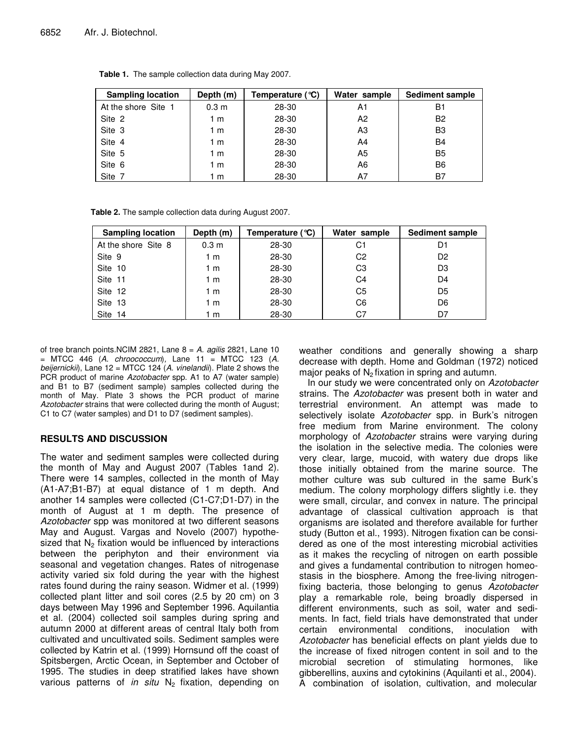| <b>Sampling location</b> | Depth (m)        | Temperature (°C) | Water sample | <b>Sediment sample</b> |
|--------------------------|------------------|------------------|--------------|------------------------|
| At the shore Site 1      | 0.3 <sub>m</sub> | 28-30            | A1           | B1                     |
| Site 2                   | 1 m              | 28-30            | A2           | B <sub>2</sub>         |
| Site 3                   | 1 m              | 28-30            | A3           | B <sub>3</sub>         |
| Site 4                   | 1 m              | 28-30            | A4           | <b>B4</b>              |
| Site 5                   | 1 m              | 28-30            | A5           | B <sub>5</sub>         |
| Site 6                   | 1 m              | 28-30            | A6           | B <sub>6</sub>         |
| Site 7                   | 1 m              | 28-30            | Α7           | B7                     |

**Table 1.** The sample collection data during May 2007.

**Table 2.** The sample collection data during August 2007.

| <b>Sampling location</b> | Depth (m)        | Temperature (°C) | Water sample   | <b>Sediment sample</b> |
|--------------------------|------------------|------------------|----------------|------------------------|
| At the shore Site 8      | 0.3 <sub>m</sub> | 28-30            | C1             | D1                     |
| Site 9                   | 1 m              | 28-30            | C <sub>2</sub> | D <sub>2</sub>         |
| Site 10                  | 1 m              | 28-30            | C <sub>3</sub> | D <sub>3</sub>         |
| Site 11                  | 1 m              | 28-30            | C4             | D4                     |
| Site 12                  | 1 m              | 28-30            | C5             | D <sub>5</sub>         |
| Site 13                  | 1 m              | 28-30            | C6             | D6                     |
| Site 14                  | 1 m              | 28-30            | C7             | D7                     |

of tree branch points.NCIM 2821, Lane 8 = *A. agilis* 2821, Lane 10 = MTCC 446 (*A. chroococcum*)*,* Lane 11 = MTCC 123 (*A. beijernickii*), Lane 12 = MTCC 124 (*A. vinelandii*). Plate 2 shows the PCR product of marine *Azotobacter* spp. A1 to A7 (water sample) and B1 to B7 (sediment sample) samples collected during the month of May. Plate 3 shows the PCR product of marine *Azotobacter* strains that were collected during the month of August; C1 to C7 (water samples) and D1 to D7 (sediment samples).

## **RESULTS AND DISCUSSION**

The water and sediment samples were collected during the month of May and August 2007 (Tables 1and 2). There were 14 samples, collected in the month of May (A1-A7;B1-B7) at equal distance of 1 m depth. And another 14 samples were collected (C1-C7;D1-D7) in the month of August at 1 m depth. The presence of *Azotobacter* spp was monitored at two different seasons May and August. Vargas and Novelo (2007) hypothesized that  $N_2$  fixation would be influenced by interactions between the periphyton and their environment via seasonal and vegetation changes. Rates of nitrogenase activity varied six fold during the year with the highest rates found during the rainy season. Widmer et al*.* (1999) collected plant litter and soil cores (2.5 by 20 cm) on 3 days between May 1996 and September 1996. Aquilantia et al*.* (2004) collected soil samples during spring and autumn 2000 at different areas of central Italy both from cultivated and uncultivated soils. Sediment samples were collected by Katrin et al. (1999) Hornsund off the coast of Spitsbergen, Arctic Ocean, in September and October of 1995. The studies in deep stratified lakes have shown various patterns of *in situ* N<sub>2</sub> fixation, depending on weather conditions and generally showing a sharp decrease with depth. Home and Goldman (1972) noticed major peaks of  $N_2$  fixation in spring and autumn.

In our study we were concentrated only on *Azotobacter* strains. The *Azotobacter* was present both in water and terrestrial environment. An attempt was made to selectively isolate *Azotobacter* spp. in Burk's nitrogen free medium from Marine environment. The colony morphology of *Azotobacter* strains were varying during the isolation in the selective media. The colonies were very clear, large, mucoid, with watery due drops like those initially obtained from the marine source. The mother culture was sub cultured in the same Burk's medium. The colony morphology differs slightly i.e. they were small, circular, and convex in nature. The principal advantage of classical cultivation approach is that organisms are isolated and therefore available for further study (Button et al., 1993). Nitrogen fixation can be considered as one of the most interesting microbial activities as it makes the recycling of nitrogen on earth possible and gives a fundamental contribution to nitrogen homeostasis in the biosphere. Among the free-living nitrogenfixing bacteria, those belonging to genus *Azotobacter* play a remarkable role, being broadly dispersed in different environments, such as soil, water and sediments. In fact, field trials have demonstrated that under certain environmental conditions, inoculation with *Azotobacter* has beneficial effects on plant yields due to the increase of fixed nitrogen content in soil and to the microbial secretion of stimulating hormones, like gibberellins, auxins and cytokinins (Aquilanti et al., 2004). A combination of isolation, cultivation, and molecular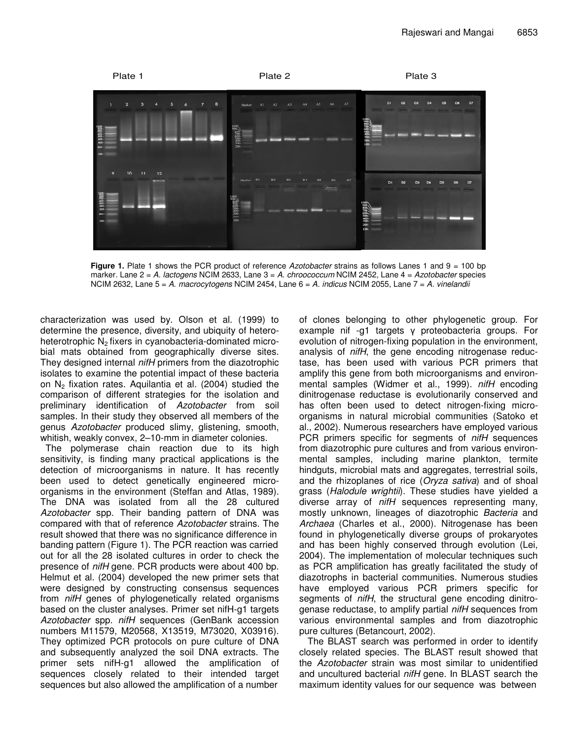

**Figure 1.** Plate 1 shows the PCR product of reference *Azotobacter* strains as follows Lanes 1 and 9 = 100 bp marker. Lane 2 = *A. lactogens* NCIM 2633, Lane 3 = *A. chroococcum* NCIM 2452, Lane 4 = *Azotobacter* species NCIM 2632, Lane 5 = *A. macrocytogens* NCIM 2454, Lane 6 = *A. indicus* NCIM 2055, Lane 7 = *A. vinelandii*

characterization was used by. Olson et al. (1999) to determine the presence, diversity, and ubiquity of heteroheterotrophic  $N<sub>2</sub>$  fixers in cyanobacteria-dominated microbial mats obtained from geographically diverse sites. They designed internal *nifH* primers from the diazotrophic isolates to examine the potential impact of these bacteria on N<sup>2</sup> fixation rates. Aquilantia et al*.* (2004) studied the comparison of different strategies for the isolation and preliminary identification of *Azotobacter* from soil samples. In their study they observed all members of the genus *Azotobacter* produced slimy, glistening, smooth, whitish, weakly convex, 2–10-mm in diameter colonies.

The polymerase chain reaction due to its high sensitivity, is finding many practical applications is the detection of microorganisms in nature. It has recently been used to detect genetically engineered microorganisms in the environment (Steffan and Atlas, 1989). The DNA was isolated from all the 28 cultured *Azotobacter* spp. Their banding pattern of DNA was compared with that of reference *Azotobacter* strains. The result showed that there was no significance difference in banding pattern (Figure 1). The PCR reaction was carried out for all the 28 isolated cultures in order to check the presence of *nifH* gene. PCR products were about 400 bp. Helmut et al. (2004) developed the new primer sets that were designed by constructing consensus sequences from *nifH* genes of phylogenetically related organisms based on the cluster analyses. Primer set nifH-g1 targets *Azotobacter* spp. *nifH* sequences (GenBank accession numbers M11579, M20568, X13519, M73020, X03916). They optimized PCR protocols on pure culture of DNA and subsequently analyzed the soil DNA extracts. The primer sets nifH-g1 allowed the amplification of sequences closely related to their intended target sequences but also allowed the amplification of a number

of clones belonging to other phylogenetic group. For example nif -g1 targets y proteobacteria groups. For evolution of nitrogen-fixing population in the environment, analysis of *nifH*, the gene encoding nitrogenase reductase, has been used with various PCR primers that amplify this gene from both microorganisms and environmental samples (Widmer et al., 1999). *nifH* encoding dinitrogenase reductase is evolutionarily conserved and has often been used to detect nitrogen-fixing microorganisms in natural microbial communities (Satoko et al., 2002). Numerous researchers have employed various PCR primers specific for segments of *nifH* sequences from diazotrophic pure cultures and from various environmental samples, including marine plankton, termite hindguts, microbial mats and aggregates, terrestrial soils, and the rhizoplanes of rice (*Oryza sativa*) and of shoal grass (*Halodule wrightii*). These studies have yielded a diverse array of *nifH* sequences representing many, mostly unknown, lineages of diazotrophic *Bacteria* and *Archaea* (Charles et al., 2000). Nitrogenase has been found in phylogenetically diverse groups of prokaryotes and has been highly conserved through evolution (Lei, 2004). The implementation of molecular techniques such as PCR amplification has greatly facilitated the study of diazotrophs in bacterial communities. Numerous studies have employed various PCR primers specific for segments of *nifH*, the structural gene encoding dinitrogenase reductase, to amplify partial *nifH* sequences from various environmental samples and from diazotrophic pure cultures (Betancourt, 2002).

The BLAST search was performed in order to identify closely related species. The BLAST result showed that the *Azotobacter* strain was most similar to unidentified and uncultured bacterial *nifH* gene. In BLAST search the maximum identity values for our sequence was between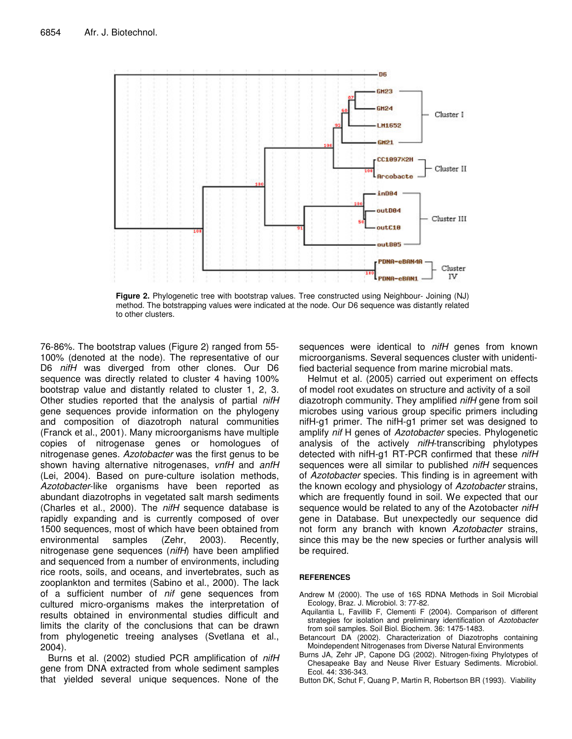

**Figure 2.** Phylogenetic tree with bootstrap values. Tree constructed using Neighbour- Joining (NJ) method. The botstrapping values were indicated at the node. Our D6 sequence was distantly related to other clusters.

76-86%. The bootstrap values (Figure 2) ranged from 55- 100% (denoted at the node). The representative of our D6 *nifH* was diverged from other clones. Our D6 sequence was directly related to cluster 4 having 100% bootstrap value and distantly related to cluster 1, 2, 3. Other studies reported that the analysis of partial *nifH* gene sequences provide information on the phylogeny and composition of diazotroph natural communities (Franck et al., 2001). Many microorganisms have multiple copies of nitrogenase genes or homologues of nitrogenase genes. *Azotobacter* was the first genus to be shown having alternative nitrogenases, *vnfH* and *anfH* (Lei, 2004). Based on pure-culture isolation methods, *Azotobacter*-like organisms have been reported as abundant diazotrophs in vegetated salt marsh sediments (Charles et al., 2000). The *nifH* sequence database is rapidly expanding and is currently composed of over 1500 sequences, most of which have been obtained from environmental samples (Zehr, 2003). Recently, nitrogenase gene sequences (*nifH*) have been amplified and sequenced from a number of environments, including rice roots, soils, and oceans, and invertebrates, such as zooplankton and termites (Sabino et al., 2000). The lack of a sufficient number of *nif* gene sequences from cultured micro-organisms makes the interpretation of results obtained in environmental studies difficult and limits the clarity of the conclusions that can be drawn from phylogenetic treeing analyses (Svetlana et al., 2004).

Burns et al. (2002) studied PCR amplification of *nifH* gene from DNA extracted from whole sediment samples that yielded several unique sequences. None of the

sequences were identical to *nifH* genes from known microorganisms. Several sequences cluster with unidentified bacterial sequence from marine microbial mats.

Helmut et al. (2005) carried out experiment on effects of model root exudates on structure and activity of a soil diazotroph community. They amplified *nifH* gene from soil microbes using various group specific primers including nifH-g1 primer. The nifH-g1 primer set was designed to amplify *nif* H genes of *Azotobacter* species. Phylogenetic analysis of the actively *nifH*-transcribing phylotypes detected with nifH-g1 RT-PCR confirmed that these *nifH* sequences were all similar to published *nifH* sequences of *Azotobacter* species. This finding is in agreement with the known ecology and physiology of *Azotobacter* strains, which are frequently found in soil. We expected that our sequence would be related to any of the Azotobacter *nifH* gene in Database. But unexpectedly our sequence did not form any branch with known *Azotobacter* strains, since this may be the new species or further analysis will be required.

## **REFERENCES**

- Andrew M (2000). The use of 16S RDNA Methods in Soil Microbial Ecology, Braz. J. Microbiol. 3: 77-82.
- Aquilantia L, Favillib F, Clementi F (2004). Comparison of different strategies for isolation and preliminary identification of *Azotobacter* from soil samples. Soil Biol. Biochem. 36: 1475-1483.
- Betancourt DA (2002). Characterization of Diazotrophs containing Moindependent Nitrogenases from Diverse Natural Environments
- Burns JA, Zehr JP, Capone DG (2002). Nitrogen-fixing Phylotypes of Chesapeake Bay and Neuse River Estuary Sediments. Microbiol. Ecol. 44: 336-343.
- Button DK, Schut F, Quang P, Martin R, Robertson BR (1993). Viability